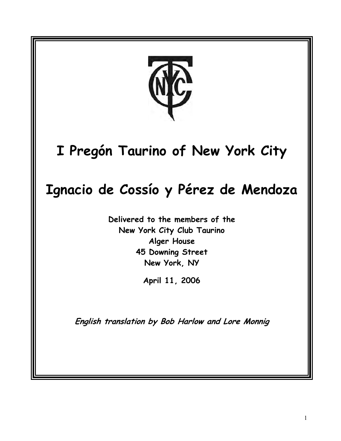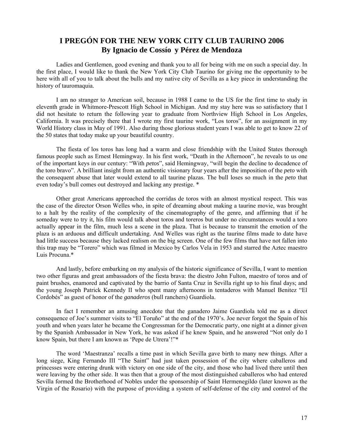# **I PREGÓN FOR THE NEW YORK CITY CLUB TAURINO 2006 By Ignacio de Cossío y Pérez de Mendoza**

Ladies and Gentlemen, good evening and thank you to all for being with me on such a special day. In the first place, I would like to thank the New York City Club Taurino for giving me the opportunity to be here with all of you to talk about the bulls and my native city of Sevilla as a key piece in understanding the history of tauromaquia.

I am no stranger to American soil, because in 1988 I came to the US for the first time to study in eleventh grade in Whitmore-Prescott High School in Michigan. And my stay here was so satisfactory that I did not hesitate to return the following year to graduate from Northview High School in Los Angeles, California. It was precisely there that I wrote my first taurine work, "Los toros", for an assignment in my World History class in May of 1991. Also during those glorious student years I was able to get to know 22 of the 50 states that today make up your beautiful country.

The fiesta of los toros has long had a warm and close friendship with the United States thorough famous people such as Ernest Hemingway. In his first work, "Death in the Afternoon", he reveals to us one of the important keys in our century: "With *petos*", said Hemingway, "will begin the decline to decadence of the toro bravo". A brilliant insight from an authentic visionary four years after the imposition of the *peto* with the consequent abuse that later would extend to all taurine plazas. The bull loses so much in the *peto* that even today's bull comes out destroyed and lacking any prestige. \*

Other great Americans approached the corridas de toros with an almost mystical respect. This was the case of the director Orson Welles who, in spite of dreaming about making a taurine movie, was brought to a halt by the reality of the complexity of the cinematography of the genre, and affirming that if he someday were to try it, his film would talk about toros and toreros but under no circumstances would a toro actually appear in the film, much less a scene in the plaza. That is because to transmit the emotion of the plaza is an arduous and difficult undertaking. And Welles was right as the taurine films made to date have had little success because they lacked realism on the big screen. One of the few films that have not fallen into this trap may be "Torero" which was filmed in Mexico by Carlos Vela in 1953 and starred the Aztec maestro Luis Procuna.\*

And lastly, before embarking on my analysis of the historic significance of Sevilla, I want to mention two other figuras and great ambassadors of the fiesta brava: the diestro John Fulton, maestro of toros and of paint brushes, enamored and captivated by the barrio of Santa Cruz in Sevilla right up to his final days; and the young Joseph Patrick Kennedy II who spent many afternoons in tentaderos with Manuel Benitez "El Cordobés" as guest of honor of the *ganaderos* (bull ranchers) Guardiola.

In fact I remember an amusing anecdote that the ganadero Jaime Guardiola told me as a direct consequence of Joe's summer visits to "El Toruño" at the end of the 1970's. Joe never forgot the Spain of his youth and when years later he became the Congressman for the Democratic party, one night at a dinner given by the Spanish Ambassador in New York, he was asked if he knew Spain, and he answered "Not only do I know Spain, but there I am known as 'Pepe de Utrera'!"\*

The word 'Maestranza' recalls a time past in which Sevilla gave birth to many new things. After a long siege, King Fernando III "The Saint" had just taken possession of the city where caballeros and princesses were entering drunk with victory on one side of the city, and those who had lived there until then were leaving by the other side. It was then that a group of the most distinguished caballeros who had entered Sevilla formed the Brotherhood of Nobles under the sponsorship of Saint Hermenegildo (later known as the Virgin of the Rosario) with the purpose of providing a system of self-defense of the city and control of the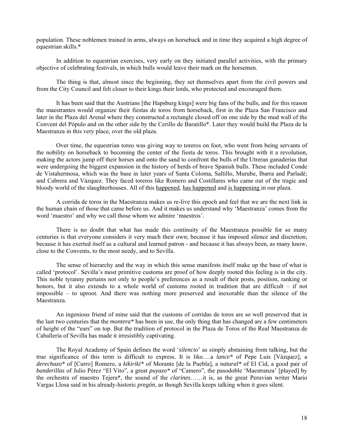population. These noblemen trained in arms, always on horseback and in time they acquired a high degree of equestrian skills.\*

In addition to equestrian exercises, very early on they initiated parallel activities, with the primary objective of celebrating festivals, in which bulls would leave their mark on the horsemen.

The thing is that, almost since the beginning, they set themselves apart from the civil powers and from the City Council and felt closer to their kings their lords, who protected and encouraged them.

It has been said that the Austrians [the Hapsburg kings] were big fans of the bulls, and for this reason the maestrantes would organize their fiestas de toros from horseback, first in the Plaza San Francisco and later in the Plaza del Arenal where they constructed a rectangle closed off on one side by the mud wall of the Convent del Pópulo and on the other side by the Cerillo de Baratillo\*. Later they would build the Plaza de la Maestranza in this very place, over the old plaza.

Over time, the equestrian toreo was giving way to toreros on foot, who went from being servants of the nobility on horseback to becoming the center of the fiesta de toros. This brought with it a revolution, making the actors jump off their horses and onto the sand to confront the bulls of the Utreran ganaderías that were undergoing the biggest expansion in the history of herds of brave Spanish bulls. These included Conde de Vistahermosa, which was the base in later years of Santa Coloma, Saltillo, Murube, Ibarra and Parladé; and Cabrera and Vázquez. They faced toreros like Romero and Costillares who came out of the tragic and bloody world of the slaughterhouses. All of this happened, has happened and is happening in our plaza.

A corrida de toros in the Maestranza makes us re-live this epoch and feel that we are the next link in the human chain of those that came before us. And it makes us understand why 'Maestranza' comes from the word 'maestro' and why we call those whom we admire 'maestros'.

There is no doubt that what has made this continuity of the Maestranza possible for so many centuries is that everyone considers it very much their own; because it has imposed silence and discretion; because it has exerted itself as a cultural and learned patron - and because it has always been, as many know, close to the Convents, to the most needy, and to Sevilla.

The sense of hierarchy and the way in which this sense manifests itself make up the base of what is called 'protocol'. Sevilla's most primitive customs are proof of how deeply rooted this feeling is in the city. This noble tyranny pertains not only to people's preferences as a result of their posts, position, ranking or honors, but it also extends to a whole world of customs rooted in tradition that are difficult – if not impossible – to uproot. And there was nothing more preserved and inexorable than the silence of the Maestranza.

An ingenious friend of mine said that the customs of corridas de toros are so well preserved that in the last two centuries that the *montera\** has been in use, the only thing that has changed are a few centimeters of height of the "ears" on top. But the tradition of protocol in the Plaza de Toros of the Real Maestranza de Caballería of Sevilla has made it irresistibly captivating.

The Royal Academy of Spain defines the word '*silencio*' as simply abstaining from talking, but the true significance of this term is difficult to express. It is like….a *lance\** of Pepe Luis [Vázquez], a *derechazo\** of [Curro] Romero, a *kikirikí\** of Morante [de la Puebla], a *natural\** of El Cid, a good pair of *banderillas* of Julio Pérez "El Vito", a great *puyazo\** of "Camero", the pasodoble 'Maestranza' [played] by the orchestra of maestro Tejera\*, the sound of the *clarines*……it is, as the great Peruvian writer Mario Vargas Llosa said in his already-historic *pregón*, as though Sevilla keeps talking when it goes silent.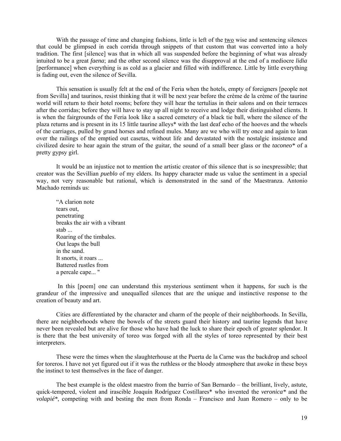With the passage of time and changing fashions, little is left of the two wise and sentencing silences that could be glimpsed in each corrida through snippets of that custom that was converted into a holy tradition. The first [silence] was that in which all was suspended before the beginning of what was already intuited to be a great *faena*; and the other second silence was the disapproval at the end of a mediocre *lidia* [performance] when everything is as cold as a glacier and filled with indifference. Little by little everything is fading out, even the silence of Sevilla.

This sensation is usually felt at the end of the Feria when the hotels, empty of foreigners [people not from Sevilla] and taurinos, resist thinking that it will be next year before the crème de la crème of the taurine world will return to their hotel rooms; before they will hear the tertulias in their salons and on their terraces after the corridas; before they will have to stay up all night to receive and lodge their distinguished clients. It is when the fairgrounds of the Feria look like a sacred cemetery of a black tie ball, where the silence of the plaza returns and is present in its 15 little taurine alleys\* with the last deaf echo of the hooves and the wheels of the carriages, pulled by grand horses and refined mules. Many are we who will try once and again to lean over the railings of the emptied out casetas, without life and devastated with the nostalgic insistence and civilized desire to hear again the strum of the guitar, the sound of a small beer glass or the *taconeo\** of a pretty gypsy girl.

It would be an injustice not to mention the artistic creator of this silence that is so inexpressible; that creator was the Sevillian *pueblo* of my elders. Its happy character made us value the sentiment in a special way, not very reasonable but rational, which is demonstrated in the sand of the Maestranza. Antonio Machado reminds us:

"A clarion note tears out, penetrating breaks the air with a vibrant stab ... Roaring of the timbales. Out leaps the bull in the sand. It snorts, it roars ... Battered rustles from a percale cape... "

In this [poem] one can understand this mysterious sentiment when it happens, for such is the grandeur of the impressive and unequalled silences that are the unique and instinctive response to the creation of beauty and art.

Cities are differentiated by the character and charm of the people of their neighborhoods. In Sevilla, there are neighborhoods where the bowels of the streets guard their history and taurine legends that have never been revealed but are alive for those who have had the luck to share their epoch of greater splendor. It is there that the best university of toreo was forged with all the styles of toreo represented by their best interpreters.

These were the times when the slaughterhouse at the Puerta de la Carne was the backdrop and school for toreros. I have not yet figured out if it was the ruthless or the bloody atmosphere that awoke in these boys the instinct to test themselves in the face of danger.

The best example is the oldest maestro from the barrio of San Bernardo – the brilliant, lively, astute, quick-tempered, violent and irascible Joaquín Rodríguez Costillares\* who invented the *veronica\** and the *volapié\**, competing with and besting the men from Ronda – Francisco and Juan Romero – only to be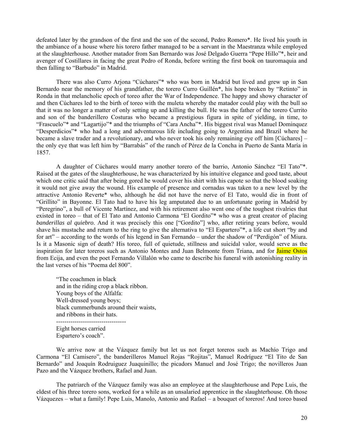defeated later by the grandson of the first and the son of the second, Pedro Romero\*. He lived his youth in the ambiance of a house where his torero father managed to be a servant in the Maestranza while employed at the slaughterhouse. Another matador from San Bernardo was José Delgado Guerra "Pepe Hillo"\*, heir and avenger of Costillares in facing the great Pedro of Ronda, before writing the first book on tauromaquia and then falling to "Barbudo" in Madrid.

There was also Curro Arjona "Cúchares"\* who was born in Madrid but lived and grew up in San Bernardo near the memory of his grandfather, the torero Curro Guillén\*, his hope broken by "Retinto" in Ronda in that melancholic epoch of toreo after the War of Independence. The happy and showy character of and then Cúchares led to the birth of toreo with the muleta whereby the matador could play with the bull so that it was no longer a matter of only setting up and killing the bull. He was the father of the torero Currito and son of the banderillero Costuras who became a prestigious figura in spite of yielding, in time, to "Frascuelo"\* and "Lagartijo"\* and the triumphs of "Cara Ancha"\*. His biggest rival was Manuel Dominquez "Desperdicios"\* who had a long and adventurous life including going to Argentina and Brazil where he became a slave trader and a revolutionary, and who never took his only remaining eye off him [Cúchares] – the only eye that was left him by "Barrabás" of the ranch of Pérez de la Concha in Puerto de Santa María in 1857.

A daughter of Cúchares would marry another torero of the barrio, Antonio Sánchez "El Tato"\*. Raised at the gates of the slaughterhouse, he was characterized by his intuitive elegance and good taste, about which one critic said that after being gored he would cover his shirt with his capote so that the blood soaking it would not give away the wound. His example of presence and cornadas was taken to a new level by the attractive Antonio Reverte\* who, although he did not have the nerve of El Tato, would die in front of "Grillito" in Bayonne. El Tato had to have his leg amputated due to an unfortunate goring in Madrid by "Peregrino", a bull of Vicente Martínez, and with his retirement also went one of the toughest rivalries that existed in toreo – that of El Tato and Antonio Carmona "El Gordito"\* who was a great creator of placing *banderillas al quiebro*. And it was precisely this one ["Gordito"] who, after retiring years before, would shave his mustache and return to the ring to give the alternativa to "El Espartero"\*, a life cut short "by and for art" – according to the words of his legend in San Fernando – under the shadow of "Perdigón" of Miura. Is it a Masonic sign of death? His toreo, full of quietude, stillness and suicidal valor, would serve as the inspiration for later toreros such as Antonio Montes and Juan Belmonte from Triana, and for Jaime Ostos from Ecija, and even the poet Fernando Villalón who came to describe his funeral with astonishing reality in the last verses of his "Poema del 800".

"The coachmen in black and in the riding crop a black ribbon. Young boys of the Alfalfa: Well-dressed young boys; black cummerbunds around their waists, and ribbons in their hats.

Eight horses carried Espartero's coach".

We arrive now at the Vázquez family but let us not forget toreros such as Machío Trigo and Carmona "El Camisero", the banderilleros Manuel Rojas "Rojitas", Manuel Rodríguez "El Tito de San Bernardo" and Joaquín Rodruiguez Juaquinillo; the picadors Manuel and José Trigo; the novilleros Juan Pazo and the Vázquez brothers, Rafael and Juan.

The patriarch of the Vázquez family was also an employee at the slaughterhouse and Pepe Luis, the eldest of his three torero sons, worked for a while as an unsalaried apprentice in the slaughterhouse. Oh those Vázquezes – what a family! Pepe Luis, Manolo, Antonio and Rafael – a bouquet of toreros! And toreo based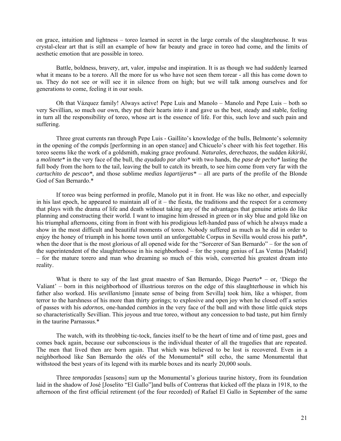on grace, intuition and lightness – toreo learned in secret in the large corrals of the slaughterhouse. It was crystal-clear art that is still an example of how far beauty and grace in toreo had come, and the limits of aesthetic emotion that are possible in toreo.

Battle, boldness, bravery, art, valor, impulse and inspiration. It is as though we had suddenly learned what it means to be a torero. All the more for us who have not seen them torear - all this has come down to us. They do not see or will see it in silence from on high; but we will talk among ourselves and for generations to come, feeling it in our souls.

Oh that Vázquez family! Always active! Pepe Luis and Manolo – Manolo and Pepe Luis – both so very Sevillian, so much our own, they put their hearts into it and gave us the best, steady and stable, feeling in turn all the responsibility of toreo, whose art is the essence of life. For this, such love and such pain and suffering.

Three great currents ran through Pepe Luis - Gaillito's knowledge of the bulls, Belmonte's solemnity in the opening of the *compás* [performing in an open stance] and Chicuelo's cheer with his feet together. His toreo seems like the work of a goldsmith, making grace profound. *Naturales*, *derechazos*, the sudden *kikirikí*, a *molinete\** in the very face of the bull, the *ayudado por alto\** with two hands, the *pase de pecho\** lasting the full body from the horn to the tail, leaving the bull to catch its breath, to see him come from very far with the *cartuchito de pescao\**, and those sublime *medias lagartijeras\** – all are parts of the profile of the Blonde God of San Bernardo.\*

If toreo was being performed in profile, Manolo put it in front. He was like no other, and especially in his last epoch, he appeared to maintain all of it – the fiesta, the traditions and the respect for a ceremony that plays with the drama of life and death without taking any of the advantages that genuine artists do like planning and constructing their world. I want to imagine him dressed in green or in sky blue and gold like on his triumphal afternoons, citing from in front with his prodigious left-handed pass of which he always made a show in the most difficult and beautiful moments of toreo. Nobody suffered as much as he did in order to enjoy the honey of triumph in his home town until an unforgettable Corpus in Sevilla would cross his path\*, when the door that is the most glorious of all opened wide for the "Sorcerer of San Bernardo" – for the son of the superintendent of the slaughterhouse in his neighborhood – for the young genius of Las Ventas [Madrid] – for the mature torero and man who dreaming so much of this wish, converted his greatest dream into reality.

What is there to say of the last great maestro of San Bernardo, Diego Puerto $* -$ or, 'Diego the Valiant' – born in this neighborhood of illustrious toreros on the edge of this slaughterhouse in which his father also worked. His *sevillanismo* [innate sense of being from Sevilla] took him, like a whisper, from terror to the harshness of his more than thirty gorings; to explosive and open joy when he closed off a series of passes with his *adornos*, one-handed *cambios* in the very face of the bull and with those little quick steps so characteristically Sevillian. This joyous and true toreo, without any concession to bad taste, put him firmly in the taurine Parnassus.\*

The watch, with its throbbing tic-tock, fancies itself to be the heart of time and of time past, goes and comes back again, because our subconscious is the individual theater of all the tragedies that are repeated. The men that lived then are born again. That which was believed to be lost is recovered. Even in a neighborhood like San Bernardo the *olé*s of the Monumental\* still echo, the same Monumental that withstood the best years of its legend with its marble boxes and its nearly 20,000 souls.

Three *temporadas* [seasons] sum up the Monumental's glorious taurine history, from its foundation laid in the shadow of José [Joselito "El Gallo"]and bulls of Contreras that kicked off the plaza in 1918, to the afternoon of the first official retirement (of the four recorded) of Rafael El Gallo in September of the same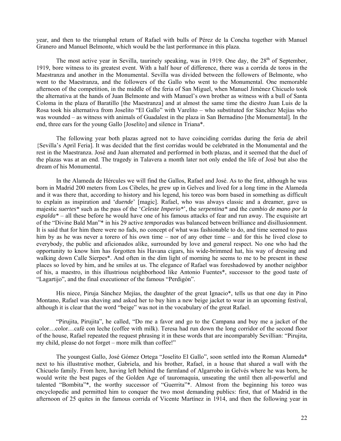year, and then to the triumphal return of Rafael with bulls of Pérez de la Concha together with Manuel Granero and Manuel Belmonte, which would be the last performance in this plaza.

The most active year in Sevilla, taurinely speaking, was in 1919. One day, the  $28<sup>th</sup>$  of September, 1919, bore witness to its greatest event. With a half hour of difference, there was a corrida de toros in the Maestranza and another in the Monumental. Sevilla was divided between the followers of Belmonte, who went to the Maestranza, and the followers of the Gallo who went to the Monumental. One memorable afternoon of the competition, in the middle of the feria of San Miguel, when Manuel Jiménez Chicuelo took the alternativa at the hands of Juan Belmonte and with Manuel's own brother as witness with a bull of Santa Coloma in the plaza of Baratillo [the Maestranza] and at almost the same time the diestro Juan Luis de la Rosa took his alternativa from Joselito "El Gallo" with Varelito – who substituted for Sánchez Mejías who was wounded – as witness with animals of Guadalest in the plaza in San Bernadino [the Monumental]. In the end, three ears for the young Gallo [Joselito] and silence in Triana\*.

The following year both plazas agreed not to have coinciding corridas during the feria de abril {Sevilla's April Feria]. It was decided that the first corridas would be celebrated in the Monumental and the rest in the Maestranza. José and Juan alternated and performed in both plazas, and it seemed that the duel of the plazas was at an end. The tragedy in Talavera a month later not only ended the life of José but also the dream of his Monumental.

In the Alameda de Hércules we will find the Gallos, Rafael and José. As to the first, although he was born in Madrid 200 meters from Los Cibeles, he grew up in Gelves and lived for a long time in the Alameda and it was there that, according to history and his legend, his toreo was born based in something as difficult to explain as inspiration and '*duende*' [magic]. Rafael, who was always classic and a dreamer, gave us majestic *suertes\** such as the pass of the '*Celeste Imperio\**', the *serpentina\** and the *cambio de mano por la espalda\** – all these before he would have one of his famous attacks of fear and run away. The exquisite art of the "Divine Bald Man"\* in his 29 active *temporadas* was balanced between brilliance and disillusionment. It is said that for him there were no fads, no concept of what was fashionable to do, and time seemed to pass him by as he was never a torero of his own time – nor of any other time – and for this he lived close to everybody, the public and aficionados alike, surrounded by love and general respect. No one who had the opportunity to know him has forgotten his Havana cigars, his wide-brimmed hat, his way of dressing and walking down Calle Sierpes\*. And often in the dim light of morning he seems to me to be present in these places so loved by him, and he smiles at us. The elegance of Rafael was foreshadowed by another neighbor of his, a maestro, in this illustrious neighborhood like Antonio Fuentes\*, successor to the good taste of "Lagartijo", and the final executioner of the famous "Perdigón".

His niece, Piruja Sánchez Mejías, the daughter of the great Ignacio\*, tells us that one day in Pino Montano, Rafael was shaving and asked her to buy him a new beige jacket to wear in an upcoming festival, although it is clear that the word "beige" was not in the vocabulary of the great Rafael.

"Pirujita, Pirujita", he called, "Do me a favor and go to the Campana and buy me a jacket of the color…color…café con leche (coffee with milk). Teresa had run down the long corridor of the second floor of the house, Rafael repeated the request phrasing it in these words that are incomparably Sevillian: "Pirujita, my child, please do not forget – more milk than coffee!"

The youngest Gallo, José Gómez Ortega "Joselito El Gallo", soon settled into the Roman Alameda\* next to his illustrative mother, Gabriela, and his brother, Rafael, in a house that shared a wall with the Chicuelo family. From here, having left behind the farmland of Algarrobo in Gelvés where he was born, he would write the best pages of the Golden Age of tauromaquia, unseating the until then all-powerful and talented "Bombita"\*, the worthy successor of "Guerrita"\*. Almost from the beginning his toreo was encyclopedic and permitted him to conquer the two most demanding publics: first, that of Madrid in the afternoon of 25 quites in the famous corrida of Vicente Martínez in 1914, and then the following year in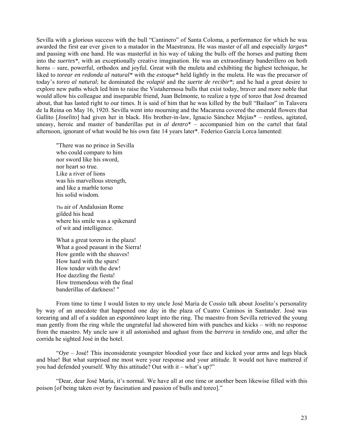Sevilla with a glorious success with the bull "Cantinero" of Santa Coloma, a performance for which he was awarded the first ear ever given to a matador in the Maestranza. He was master of all and especially *largas\** and passing with one hand. He was masterful in his way of taking the bulls off the horses and putting them into the *suertes\**, with an exceptionally creative imagination. He was an extraordinary banderillero on both horns – sure, powerful, orthodox and joyful. Great with the muleta and exhibiting the highest technique, he liked to *torear en redonda al natural\** with the *estoque\** held lightly in the muleta. He was the precursor of today's *toreo al natural*; he dominated the *volapié* and the *suerte de recibir\**; and he had a great desire to explore new paths which led him to raise the Vistahermosa bulls that exist today, braver and more noble that would allow his colleague and inseparable friend, Juan Belmonte, to realize a type of toreo that José dreamed about, that has lasted right to our times. It is said of him that he was killed by the bull "Bailaor" in Talavera de la Reina on May 16, 1920. Sevilla went into mourning and the Macarena covered the emerald flowers that Gallito [*Joselito*] had given her in black. His brother-in-law, Ignacio Sánchez Mejías\* – restless, agitated, uneasy, heroic and master of banderillas put in *al dentro*\* – accompanied him on the cartel that fatal afternoon, ignorant of what would be his own fate 14 years later\*. Federico García Lorca lamented:

"There was no prince in Sevilla who could compare to him nor sword like his sword, nor heart so true. Like a river of lions was his marvellous strength, and like a marble torso his solid wisdom.

The air of Andalusian Rome gilded his head where his smile was a spikenard of wit and intelligence.

What a great torero in the plaza! What a good peasant in the Sierra! How gentle with the sheaves! How hard with the spurs! How tender with the dew! Hoe dazzling the fiesta! How tremendous with the final banderillas of darkness! "

From time to time I would listen to my uncle José María de Cossío talk about Joselito's personality by way of an anecdote that happened one day in the plaza of Cuatro Caminos in Santander. José was torearing and all of a sudden an *espontáneo* leapt into the ring. The maestro from Sevilla retrieved the young man gently from the ring while the ungrateful lad showered him with punches and kicks – with no response from the maestro. My uncle saw it all astonished and aghast from the *barrera* in *tendido* one, and after the corrida he sighted José in the hotel.

"*Oye* – José! This inconsiderate youngster bloodied your face and kicked your arms and legs black and blue! But what surprised me most were your response and your attitude. It would not have mattered if you had defended yourself. Why this attitude? Out with it – what's up?"

"Dear, dear José María, it's normal. We have all at one time or another been likewise filled with this poison [of being taken over by fascination and passion of bulls and toreo]."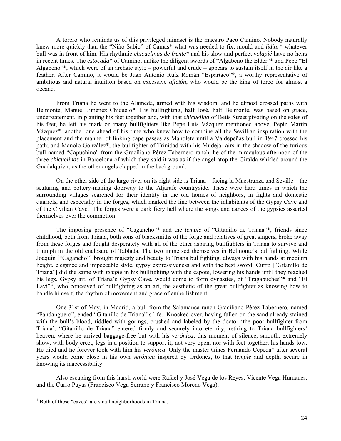A torero who reminds us of this privileged mindset is the maestro Paco Camino. Nobody naturally knew more quickly than the "Niño Sabio" of Camas\* what was needed to fix, mould and *lidiar*\* whatever bull was in front of him. His rhythmic *chicuelinas de frente\** and his slow and perfect *volapié* have no heirs in recent times. The *estocada\** of Camino, unlike the diligent swords of "Algabeño the Elder"\* and Pepe "El Algabeño"\*, which were of an archaic style – powerful and crude – appears to sustain itself in the air like a feather. After Camino, it would be Juan Antonio Ruíz Román "Espartaco"\*, a worthy representative of ambitious and natural intuition based on excessive *afición*, who would be the king of toreo for almost a decade.

From Triana he went to the Alameda, armed with his wisdom, and he almost crossed paths with Belmonte, Manuel Jiménez Chicuelo\*. His bullfighting, half José, half Belmonte, was based on grace, understatement, in planting his feet together and, with that *chicuelina* of Betis Street pivoting on the soles of his feet, he left his mark on many bullfighters like Pepe Luis Vázquez mentioned above; Pepín Martín Vázquez\*, another one ahead of his time who knew how to combine all the Sevillian inspiration with the placement and the manner of linking cape passes as Manolete until a Valdepeñas bull in 1947 crossed his path; and Manolo González\*, the bullfighter of Trinidad with his Mudejar airs in the shadow of the furious bull named "Capuchino" from the Graciliano Pérez Tabernero ranch, he of the miraculous afternoon of the three *chicuelinas* in Barcelona of which they said it was as if the angel atop the Giralda whirled around the Guadalquivir, as the other angels clapped in the background.

On the other side of the large river on its right side is Triana – facing la Maestranza and Seville – the seafaring and pottery-making doorway to the Aljarafe countryside. These were hard times in which the surrounding villages searched for their identity in the old homes of neighbors, in fights and domestic quarrels, and especially in the forges, which marked the line between the inhabitants of the Gypsy Cave and of the Civilian Cave.<sup>1</sup> The forges were a dark fiery hell where the songs and dances of the gypsies asserted themselves over the commotion.

The imposing presence of "Cagancho"\* and the *temple* of "Gitanillo de Triana"\*, friends since childhood, both from Triana, both sons of blacksmiths of the forge and relatives of great singers, broke away from these forges and fought desperately with all of the other aspiring bullfighters in Triana to survive and triumph in the old enclosure of Tablada. The two immersed themselves in Belmonte's bullfighting. While Joaquin ["Cagancho"] brought majesty and beauty to Triana bullfighting, always with his hands at medium height, elegance and impeccable style, gypsy expressiveness and with the best sword; Curro ["Gitanillo de Triana"] did the same with *temple* in his bullfighting with the capote, lowering his hands until they reached his legs. Gypsy art, of Triana's Gypsy Cave, would come to form dynasties, of "Tragabuches"\* and "El Lavi<sup>\*\*</sup>, who conceived of bullfighting as an art, the aesthetic of the great bullfighter as knowing how to handle himself, the rhythm of movement and grace of embellishment.

One 31st of May, in Madrid, a bull from the Salamanca ranch Graciliano Pérez Tabernero, named "Fandanguero", ended "Gitanillo de Triana"'s life. Knocked over, having fallen on the sand already stained with the bull's blood, riddled with gorings, crushed and labeled by the doctor 'the poor bullfighter from Triana', "Gitanillo de Triana" entered firmly and securely into eternity, retiring to Triana bullfighters' heaven, where he arrived baggage-free but with his *verónica*, this moment of silence, smooth, extremely show, with body erect, legs in a position to support it, not very open, nor with feet together, his hands low. He died and he forever took with him his *verónica*. Only the master Gines Fernando Cepeda\* after several years would come close in his own *verónica* inspired by Ordoñez, to that *temple* and depth, secure in knowing its inaccessibility.

Also escaping from this harsh world were Rafael y José Vega de los Reyes, Vicente Vega Humanes, and the Curro Puyas (Francisco Vega Serrano y Francisco Moreno Vega).

 $\overline{a}$ 

<sup>&</sup>lt;sup>1</sup> Both of these "caves" are small neighborhoods in Triana.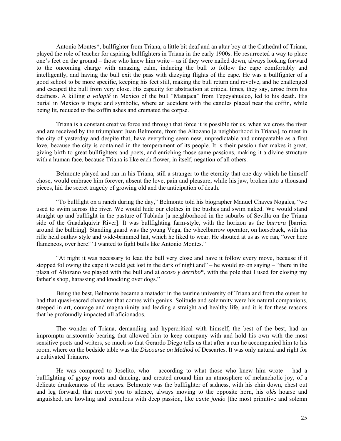Antonio Montes\*, bullfighter from Triana, a little bit deaf and an altar boy at the Cathedral of Triana, played the role of teacher for aspiring bullfighters in Triana in the early 1900s. He resurrected a way to place one's feet on the ground – those who knew him write – as if they were nailed down, always looking forward to the oncoming charge with amazing calm, inducing the bull to follow the cape comfortably and intelligently, and having the bull exit the pass with dizzying flights of the cape. He was a bullfighter of a good school to be more specific, keeping his feet still, making the bull return and revolve, and he challenged and escaped the bull from very close. His capacity for abstraction at critical times, they say, arose from his deafness. A killing *a volapié* in Mexico of the bull "Matajaca" from Tepeyahualco, led to his death. His burial in Mexico is tragic and symbolic, where an accident with the candles placed near the coffin, while being lit, reduced to the coffin ashes and cremated the corpse.

Triana is a constant creative force and through that force it is possible for us, when we cross the river and are received by the triumphant Juan Belmonte, from the Altozano [a neighborhood in Triana], to meet in the city of yesterday and despite that, have everything seem new, unpredictable and unrepeatable as a first love, because the city is contained in the temperament of its people. It is their passion that makes it great, giving birth to great bullfighters and poets, and enriching those same passions, making it a divine structure with a human face, because Triana is like each flower, in itself, negation of all others.

Belmonte played and ran in his Triana, still a stranger to the eternity that one day which he himself chose, would embrace him forever, absent the love, pain and pleasure, while his jaw, broken into a thousand pieces, hid the secret tragedy of growing old and the anticipation of death.

"To bullfight on a ranch during the day," Belmonte told his biographer Manuel Chaves Nogales, "we used to swim across the river. We would hide our clothes in the bushes and swim naked. We would stand straight up and bullfight in the pasture of Tablada [a neighborhood in the suburbs of Sevilla on the Triana side of the Guadalquivir River]. It was bullfighting farm-style, with the horizon as the *barrera* [barrier around the bullring]. Standing guard was the young Vega, the wheelbarrow operator, on horseback, with his rifle held outlaw style and wide-brimmed hat, which he liked to wear. He shouted at us as we ran, "over here flamencos, over here!" I wanted to fight bulls like Antonio Montes."

"At night it was necessary to lead the bull very close and have it follow every move, because if it stopped following the cape it would get lost in the dark of night and" – he would go on saying – "there in the plaza of Altozano we played with the bull and at *acoso y derribo*\*, with the pole that I used for closing my father's shop, harassing and knocking over dogs."

Being the best, Belmonte became a matador in the taurine university of Triana and from the outset he had that quasi-sacred character that comes with genius. Solitude and solemnity were his natural companions, steeped in art, courage and magnanimity and leading a straight and healthy life, and it is for these reasons that he profoundly impacted all aficionados.

The wonder of Triana, demanding and hypercritical with himself, the best of the best, had an impromptu aristocratic bearing that allowed him to keep company with and hold his own with the most sensitive poets and writers, so much so that Gerardo Diego tells us that after a run he accompanied him to his room, where on the bedside table was the *Discourse on Method* of Descartes. It was only natural and right for a cultivated Trianero.

He was compared to Joselito, who – according to what those who knew him wrote – had a bullfighting of gypsy roots and dancing, and created around him an atmosphere of melancholic joy, of a delicate drunkenness of the senses. Belmonte was the bullfighter of sadness, with his chin down, chest out and leg forward, that moved you to silence, always moving to the opposite horn, his *olés* hoarse and anguished, are howling and tremulous with deep passion, like *cante jondo* [the most primitive and solemn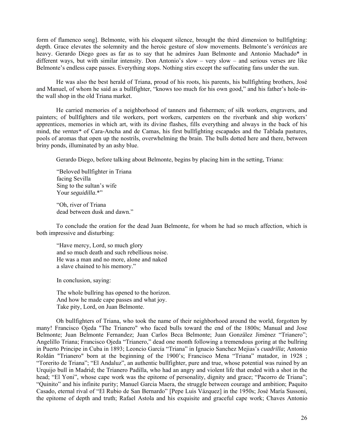form of flamenco song]. Belmonte, with his eloquent silence, brought the third dimension to bullfighting: depth. Grace elevates the solemnity and the heroic gesture of slow movements. Belmonte's *verónicas* are heavy. Gerardo Diego goes as far as to say that he admires Juan Belmonte and Antonio Machado\* in different ways, but with similar intensity. Don Antonio's slow – very slow – and serious verses are like Belmonte's endless cape passes. Everything stops. Nothing stirs except the suffocating fans under the sun.

He was also the best herald of Triana, proud of his roots, his parents, his bullfighting brothers, José and Manuel, of whom he said as a bullfighter, "knows too much for his own good," and his father's hole-inthe wall shop in the old Triana market.

He carried memories of a neighborhood of tanners and fishermen; of silk workers, engravers, and painters; of bullfighters and tile workers, port workers, carpenters on the riverbank and ship workers' apprentices, memories in which art, with its divine flashes, fills everything and always in the back of his mind, the *ventas\** of Cara-Ancha and de Camas, his first bullfighting escapades and the Tablada pastures, pools of aromas that open up the nostrils, overwhelming the brain. The bulls dotted here and there, between briny ponds, illuminated by an ashy blue.

Gerardo Diego, before talking about Belmonte, begins by placing him in the setting, Triana:

"Beloved bullfighter in Triana facing Sevilla Sing to the sultan's wife Your *seguidilla*.\*"

"Oh, river of Triana dead between dusk and dawn."

To conclude the oration for the dead Juan Belmonte, for whom he had so much affection, which is both impressive and disturbing:

"Have mercy, Lord, so much glory and so much death and such rebellious noise. He was a man and no more, alone and naked a slave chained to his memory."

In conclusion, saying:

The whole bullring has opened to the horizon. And how he made cape passes and what joy. Take pity, Lord, on Juan Belmonte.

Oh bullfighters of Triana, who took the name of their neighborhood around the world, forgotten by many! Francisco Ojeda "The Trianero" who faced bulls toward the end of the 1800s; Manual and Jose Belmonte; Juan Belmonte Fernandez; Juan Carlos Beca Belmonte; Juan González Jiménez "Trianero"; Angelillo Triana; Francisco Ojeda "Trianero," dead one month following a tremendous goring at the bullring in Puerto Principe in Cuba in 1893; Leoncio García "Triana" in Ignacio Sanchez Mejias's *cuadrilla*; Antonio Roldán "Trianero" born at the beginning of the 1900's; Francisco Mena "Triana" matador, in 1928 ; "Torerito de Triana"; "El Andaluz", an authentic bullfighter, pure and true, whose potential was ruined by an Urquijo bull in Madrid; the Trianero Padilla, who had an angry and violent life that ended with a shot in the head; "El Yoni", whose cape work was the epitome of personality, dignity and grace; "Pacorro de Triana"; "Quinito" and his infinite purity; Manuel Garcia Maera, the struggle between courage and ambition; Paquito Casado, eternal rival of "El Rubio de San Bernardo" [Pepe Luis Vázquez] in the 1950s; José María Sussoni, the epitome of depth and truth; Rafael Astola and his exquisite and graceful cape work; Chaves Antonio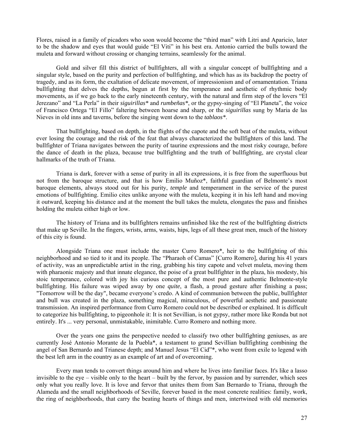Flores, raised in a family of picadors who soon would become the "third man" with Litri and Aparicio, later to be the shadow and eyes that would guide "El Viti" in his best era. Antonio carried the bulls toward the muleta and forward without crossing or changing terrains, seamlessly for the animal.

Gold and silver fill this district of bullfighters, all with a singular concept of bullfighting and a singular style, based on the purity and perfection of bullfighting, and which has as its backdrop the poetry of tragedy, and as its form, the exaltation of delicate movement, of impressionism and of ornamentation. Triana bullfighting that delves the depths, begun at first by the temperance and aesthetic of rhythmic body movements, as if we go back to the early nineteenth century, with the natural and firm step of the lovers "El Jerezano" and "La Perla" in their *siguirillas\** and *rumbeñas\**, or the gypsy-singing of "El Planeta", the voice of Francisco Ortega "El Fillo" faltering between hoarse and sharp, or the *siguirillas* sung by Maria de las Nieves in old inns and taverns, before the singing went down to the *tablaos\**.

That bullfighting, based on depth, in the flights of the capote and the soft beat of the muleta, without ever losing the courage and the risk of the feat that always characterized the bullfighters of this land. The bullfighter of Triana navigates between the purity of taurine expressions and the most risky courage, before the dance of death in the plaza, because true bullfighting and the truth of bullfighting, are crystal clear hallmarks of the truth of Triana.

Triana is dark, forever with a sense of purity in all its expressions, it is free from the superfluous but not from the baroque structure, and that is how Emilio Muñoz\*, faithful guardian of Belmonte's most baroque elements, always stood out for his purity, *temple* and temperament in the service of the purest emotions of bullfighting. Emilio cites unlike anyone with the muleta, keeping it in his left hand and moving it outward, keeping his distance and at the moment the bull takes the muleta, elongates the pass and finishes holding the muleta either high or low.

The history of Triana and its bullfighters remains unfinished like the rest of the bullfighting districts that make up Seville. In the fingers, wrists, arms, waists, hips, legs of all these great men, much of the history of this city is found.

Alongside Triana one must include the master Curro Romero\*, heir to the bullfighting of this neighborhood and so tied to it and its people. The "Pharaoh of Camas" [Curro Romero], during his 41 years of activity, was an unpredictable artist in the ring, grabbing his tiny capote and velvet muleta, moving them with pharaonic majesty and that innate elegance, the poise of a great bullfighter in the plaza, his modesty, his stoic temperance, colored with joy his curious concept of the most pure and authentic Belmonte-style bullfighting. His failure was wiped away by one *quite*, a flash, a proud gesture after finishing a pass; "Tomorrow will be the day", became everyone's credo. A kind of communion between the public, bullfighter and bull was created in the plaza, something magical, miraculous, of powerful aesthetic and passionate transmission. An inspired performance from Curro Romero could not be described or explained. It is difficult to categorize his bullfighting, to pigeonhole it: It is not Sevillian, is not gypsy, rather more like Ronda but not entirely. It's ... very personal, unmistakable, inimitable. Curro Romero and nothing more.

Over the years one gains the perspective needed to classify two other bullfighting geniuses, as are currently José Antonio Morante de la Puebla\*, a testament to grand Sevillian bullfighting combining the angel of San Bernardo and Trianese depth; and Manuel Jesus "El Cid"\*, who went from exile to legend with the best left arm in the country as an example of art and of overcoming.

Every man tends to convert things around him and where he lives into familiar faces. It's like a lasso invisible to the eye – visible only to the heart – built by the fervor, by passion and by surrender, which sees only what you really love. It is love and fervor that unites them from San Bernardo to Triana, through the Alameda and the small neighborhoods of Seville, forever based in the most concrete realities: family, work, the ring of neighborhoods, that carry the beating hearts of things and men, intertwined with old memories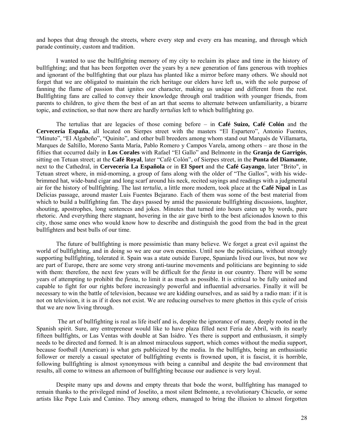and hopes that drag through the streets, where every step and every era has meaning, and through which parade continuity, custom and tradition.

I wanted to use the bullfighting memory of my city to reclaim its place and time in the history of bullfighting; and that has been forgotten over the years by a new generation of fans generous with trophies and ignorant of the bullfighting that our plaza has planted like a mirror before many others. We should not forget that we are obligated to maintain the rich heritage our elders have left us, with the sole purpose of fanning the flame of passion that ignites our character, making us unique and different from the rest. Bullfighting fans are called to convey their knowledge through oral tradition with younger friends, from parents to children, to give them the best of an art that seems to alternate between unfamiliarity, a bizarre topic, and extinction, so that now there are hardly *tertulias* left to which bullfighting go.

The tertulias that are legacies of those coming before – in **Café Suizo, Café Colón** and the **Cervecería España**, all located on Sierpes street with the masters "El Espartero", Antonio Fuentes, "Minuto", "El Algabeño", "Quinito", and other bull breeders among whom stand out Marqués de Villamarta, Marques de Saltillo, Moreno Santa María, Pablo Romero y Campos Varela, among others – are those in the fifties that occurred daily in **Los Corales** with Rafael "El Gallo" and Belmonte in the **Granja de Garrigós**, sitting on Tetuan street; at the **Café Royal**, later "Café Colón", of Sierpes street, in the **Punta del Diamante**, next to the Cathedral, in **Cervecería La Española** or in **El Sport** and the **Café Gayango**, later "Brito", in Tetuan street where, in mid-morning, a group of fans along with the older of "The Gallos", with his widebrimmed hat, wide-band cigar and long scarf around his neck, recited sayings and readings with a judgmental air for the history of bullfighting. The last *tertulia*, a little more modern, took place at the **Café Nipal** in Las Delicias passage, around master Luis Fuentes Bejarano. Each of them was some of the best material from which to build a bullfighting fan. The days passed by amid the passionate bullfighting discussions, laughter, shouting, apostrophes, long sentences and jokes. Minutes that turned into hours eaten up by words, pure rhetoric. And everything there stagnant, hovering in the air gave birth to the best aficionados known to this city, those same ones who would know how to describe and distinguish the good from the bad in the great bullfighters and best bulls of our time.

The future of bullfighting is more pessimistic than many believe. We forget a great evil against the world of bullfighting, and in doing so we are our own enemies. Until now the politicians, without strongly supporting bullfighting, tolerated it. Spain was a state outside Europe, Spaniards lived our lives, but now we are part of Europe, there are some very strong anti-taurine movements and politicians are beginning to side with them: therefore, the next few years will be difficult for the *fiesta* in our country. There will be some years of attempting to prohibit the *fiesta*, to limit it as much as possible. It is critical to be fully united and capable to fight for our rights before increasingly powerful and influential adversaries. Finally it will be necessary to win the battle of television, because we are kidding ourselves, and as said by a radio man: if it is not on television, it is as if it does not exist. We are reducing ourselves to mere ghettos in this cycle of crisis that we are now living through.

The art of bullfighting is real as life itself and is, despite the ignorance of many, deeply rooted in the Spanish spirit. Sure, any entrepreneur would like to have plaza filled next Feria de Abril, with its nearly fifteen bullfights, or Las Ventas with double at San Isidro. Yes there is support and enthusiasm, it simply needs to be directed and formed. It is an almost miraculous support, which comes without the media support, because football (American) is what gets publicized by the media. In the bullfights, being an enthusiastic follower or merely a casual spectator of bullfighting events is frowned upon, it is fascist, it is horrible, following bullfighting is almost synonymous with being a cannibal and despite the bad environment that results, all come to witness an afternoon of bullfighting because our audience is very loyal.

Despite many ups and downs and empty threats that bode the worst, bullfighting has managed to remain thanks to the privileged mind of Joselito, a most silent Belmonte, a revolutionary Chicuelo, or some artists like Pepe Luis and Camino. They among others, managed to bring the illusion to almost forgotten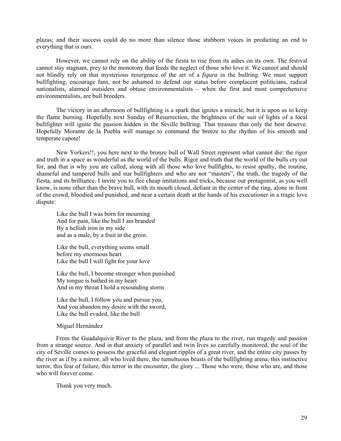plazas; and their success could do no more than silence those stubborn voices in predicting an end to everything that is ours.

However, we cannot rely on the ability of the fiesta to rise from its ashes on its own. The festival cannot stay stagnant, prey to the monotony that feeds the neglect of those who love it. We cannot and should not blindly rely on that mysterious resurgence of the art of a *figura* in the bullring. We must support bullfighting, encourage fans, not be ashamed to defend our status before complacent politicians, radical nationalists, alarmed outsiders and obtuse environmentalists – when the first and most comprehensive environmentalists, are bull breeders.

The victory in an afternoon of bullfighting is a spark that ignites a miracle, but it is upon us to keep the flame burning. Hopefully next Sunday of Resurrection, the brightness of the suit of lights of a local bullfighter will ignite the passion hidden in the Seville bullring. That treasure that only the best deserve. Hopefully Morante de la Puebla will manage to command the breeze to the rhythm of his smooth and temperate capote!

New Yorkers!!, you here next to the bronze bull of Wall Street represent what cannot die: the rigor and truth in a space as wonderful as the world of the bulls. Rigor and truth that the world of the bulls cry out for, and that is why you are called, along with all those who love bullfights, to resist apathy, the routine, shameful and tampered bulls and star bullfighters and who are not "masters", the truth, the tragedy of the fiesta, and its brilliance. I invite you to flee cheap imitations and tricks, because our protagonist, as you well know, is none other than the brave bull, with its mouth closed, defiant in the center of the ring, alone in front of the crowd, bloodied and punished, and near a certain death at the hands of his executioner in a tragic love dispute:

Like the bull I was born for mourning And for pain, like the bull I am branded By a hellish iron in my side and as a male, by a fruit in the groin.

Like the bull, everything seems small before my enormous heart Like the bull I will fight for your love

Like the bull, I become stronger when punished My tongue is bathed in my heart And in my throat I hold a resounding storm

Like the bull, I follow you and pursue you, And you abandon my desire with the sword, Like the bull evaded, like the bull

Miguel Hernández

From the Guadalquivir River to the plaza, and from the plaza to the river, run tragedy and passion from a strange source. And in that anxiety of parallel and twin lives so carefully monitored, the soul of the city of Seville comes to possess the graceful and elegant ripples of a great river, and the entire city passes by the river as if by a mirror, all who lived there, the tumultuous beasts of the bullfighting arena, this instinctive terror, this fear of failure, this terror in the encounter, the glory ... Those who were, those who are, and those who will forever come.

Thank you very much.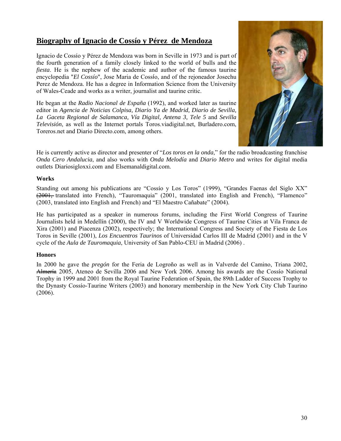# **Biography of Ignacio de Cossío y Pérez de Mendoza**

Ignacio de Cossío y Pérez de Mendoza was born in Seville in 1973 and is part of the fourth generation of a family closely linked to the world of bulls and the *fiesta*. He is the nephew of the academic and author of the famous taurine encyclopedia "*El Cossío*", Jose Maria de Cossío, and of the rejoneador Josechu Perez de Mendoza. He has a degree in Information Science from the University of Wales-Ceade and works as a writer, journalist and taurine critic.

He began at the *Radio Nacional de España* (1992), and worked later as taurine editor in *Agencia de Noticias Colpisa, Diario Ya de Madrid, Diario de Sevilla, La Gaceta Regional de Salamanca, Vía Digital, Antena 3, Tele 5* and *Sevilla Televisión*, as well as the Internet portals Toros.viadigital.net, Burladero.com, Toreros.net and Diario Directo.com, among others.



He is currently active as director and presenter of "*Los toros en la onda*," for the radio broadcasting franchise *Onda Cero Andalucia*, and also works with *Onda Melodía* and *Diario Metro* and writes for digital media outlets Diariosigloxxi.com and Elsemanaldigital.com.

## **Works**

Standing out among his publications are "Cossío y Los Toros" (1999), "Grandes Faenas del Siglo XX" (2001, translated into French), "Tauromaquia" (2001, translated into English and French), "Flamenco" (2003, translated into English and French) and "El Maestro Cañabate" (2004).

He has participated as a speaker in numerous forums, including the First World Congress of Taurine Journalists held in Medellín (2000), the IV and V Worldwide Congress of Taurine Cities at Vila Franca de Xira (2001) and Piacenza (2002), respectively; the International Congress and Society of the Fiesta de Los Toros in Seville (2001), *Los Encuentros Taurinos* of Universidad Carlos III de Madrid (2001) and in the V cycle of the *Aula de Tauromaquia*, University of San Pablo-CEU in Madrid (2006) .

## **Honors**

In 2000 he gave the *pregón* for the Feria de Logroño as well as in Valverde del Camino, Triana 2002, Almería 2005, Ateneo de Sevilla 2006 and New York 2006. Among his awards are the Cossío National Trophy in 1999 and 2001 from the Royal Taurine Federation of Spain, the 89th Ladder of Success Trophy to the Dynasty Cossío-Taurine Writers (2003) and honorary membership in the New York City Club Taurino (2006).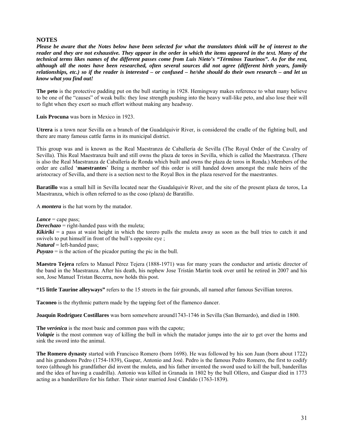## **NOTES**

*Please be aware that the Notes below have been selected for what the translators think will be of interest to the reader and they are not exhaustive. They appear in the order in which the items appeared in the text. Many of the technical terms likes names of the different passes come from Luis Nieto's "Términos Taurinos". As for the rest, although all the notes have been researched, often several sources did not agree (different birth years, family relationships, etc.) so if the reader is interested – or confused – he/she should do their own research – and let us know what you find out!*

**The peto** is the protective padding put on the bull starting in 1928. Hemingway makes reference to what many believe to be one of the "causes" of weak bulls: they lose strength pushing into the heavy wall-like peto, and also lose their will to fight when they exert so much effort without making any headway.

**Luis Procuna** was born in Mexico in 1923.

**Utrera** is a town near Sevilla on a branch of th**e** Guadalquivir River, is considered the cradle of th[e fighting bull](http://en.wikipedia.org/wiki/Bull_fighting), and there are many famous cattle farms in its municipal district.

This group was and is known as the Real Maestranza de Caballería de Sevilla (The Royal Order of the Cavalry of Sevilla). This Real Maestranza built and still owns the plaza de toros in Sevilla, which is called the Maestranza. (There is also the Real Maestranza de Caballería de Ronda which built and owns the plaza de toros in Ronda.) Members of the order are called '**maestrantes**' Being a member sof this order is still handed down amongst the male heirs of the aristocracy of Sevilla, and there is a section next to the Royal Box in the plaza reserved for the maestrantes.

**Baratillo** was a small hill in Sevilla located near the Guadalquivir River, and the site of the present plaza de toros, La Maestranza, which is often referred to as the coso (plaza) de Baratillo.

A *montera* is the hat worn by the matador.

*Lance* = cape pass;

*Derechazo* = right-handed pass with the muleta;

*Kikirikí* = a pass at waist height in which the torero pulls the muleta away as soon as the bull tries to catch it and swivels to put himself in front of the bull's opposite eye ;

*Natural* = left-handed pass;

*Puyazo* = is the action of the picador putting the pic in the bull.

**Maestro Tejera** refers to Manuel Pérez Tejera (1888-1971) was for many years the conductor and artistic director of the band in the Maestranza. After his death, his nephew Jose Tristán Martín took over until he retired in 2007 and his son, Jose Manuel Tristan Becerra, now holds this post.

**"15 little Taurine alleyways"** refers to the 15 streets in the fair grounds, all named after famous Sevillian toreros.

**Taconeo** is the rhythmic pattern made by the tapping feet of the flamenco dancer.

**Joaquín Rodríguez Costillares** was born somewhere around1743-1746 in Sevilla (San Bernardo), and died in 1800.

**The** *verónica* is the most basic and common pass with the capote;

*Volapie* is the most common way of killing the bull in which the matador jumps into the air to get over the horns and sink the sword into the animal.

**The Romero dynasty** started with Francisco Romero (born 1698). He was followed by his son Juan (born about 1722) and his grandsons Pedro (1754-1839), Gaspar, Antonio and José. Pedro is the famous Pedro Romero, the first to codify toreo (although his grandfather did invent the muleta, and his father invented the sword used to kill the bull, banderillas and the idea of having a cuadrilla). Antonio was killed in Granada in 1802 by the bull Ollero, and Gaspar died in 1773 acting as a banderillero for his father. Their sister married José Cándido (1763-1839).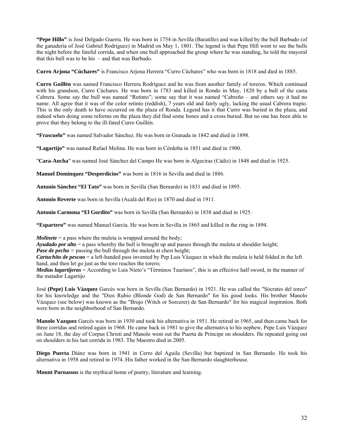**"Pepe Hillo"** is José Delgado Guerra. He was born in 1754 in Sevilla (Baratillo) and was killed by the bull Barbudo (of the ganadería of José Gabriel Rodríguez) in Madrid on May 1, 1801. The legend is that Pepe Hill went to see the bulls the night before the fateful corrida, and when one bull approached the group where he was standing, he told the mayoral that this bull was to be his – and that was Barbudo.

**Curro Arjona "Cúchares"** is Francisco Arjona Herrera "Curro Cúchares" who was born in 1818 and died in 1885.

**Curro Guillén** was named Francisco Herrera Rodríguez and he was from another family of toreros. Which continued with his grandson, Curro Cúchares. He was born in 1783 and killed in Rondo in May, 1820 by a bull of the casta Cabrera. Some say the bull was named "Retinto"; some say that it was named "Cabreño – and others say it had no name. All agree that it was of the color retinto (reddish), 7 years old and fairly ugly, lacking the usual Cabrera trapío. This is the only death to have occurred on the plaza of Ronda. Legend has it that Curro was buried in the plaza, and indeed when doing some reforms on the plaza they did find some bones and a cross buried. But no one has been able to prove that they belong to the ill-fated Curro Guillén.

**"Frascuelo"** was named Salvador Sánchez. He was born in Granada in 1842 and died in 1898.

**"Lagartijo"** was named Rafael Molina. He was born in Córdoba in 1851 and died in 1900.

"**Cara**-**Ancha**" was named José Sánchez del Campo He was born in Algeciras (Cádiz) in 1848 and died in 1925.

**Manuel Domínquez "Desperdicios"** was born in 1816 in Sevilla and died in 1886.

**Antonio Sánchez "El Tato"** was born in Sevilla (San Bernardo) in 1831 and died in 1895.

**Antonio Reverte** was born in Sevilla (Acalá del Rio) in 1870 and died in 1911.

**Antonio Carmona "El Gordito"** was born in Sevilla (San Bernardo) in 1838 and died in 1925.

**"Espartero"** was named Manuel García. He was born in Sevilla in 1865 and killed in the ring in 1894.

*Molinete* = a pass where the muleta is wrapped around the body;

*Ayudado por alto* = a pass whereby the bull is brought up and passes through the muleta at shoulder height;

*Pase de pecho* = passing the bull through the muleta at chest height;

*Cartuchito de pescao* = a left-handed pass invented by Pep Luis Vázquez in which the muleta is held folded in the left hand, and then let go just as the toro reaches the torero;

*Medias lagartijeras* = According to Luis Nieto's "Términos Taurinos", this is an effective half sword, in the manner of the matador Lagartijo

José **(Pepe) Luis Vázquez** Garcés was born in Sevilla (San Bernardo) in 1921. He was called the "Sócrates del toreo" for his knowledge and the "Dios Rubio (Blonde God) de San Bernardo" for his good looks. His brother Manolo Vázquez (see below) was known as the "Brujo (Witch or Sorcerer) de San Bernardo" for his magical inspiration. Both were born in the neighborhood of San Bernardo.

**Manolo Vazquez** Garcés was born in 1930 and took his alternativa in 1951. He retired in 1965, and then came back for three corridas and retired again in 1968. He came back in 1981 to give the alternativa to his nephew, Pepe Luis Vázquez on June 18, the day of Corpus Christi and Manolo went out the Puerta de Principe on shoulders. He repeated going out on shoulders in his last corrida in 1983. The Maestro died in 2005.

**Diego Puerta** Diánz was born in 1941 in Cerro del Aguila (Sevilla) but baptized in San Bernardo. He took his alternativa in 1958 and retired in 1974. His father worked in the San Bernardo slaughterhouse.

**Mount Parnassus** is the mythical home of poetry, literature and learning.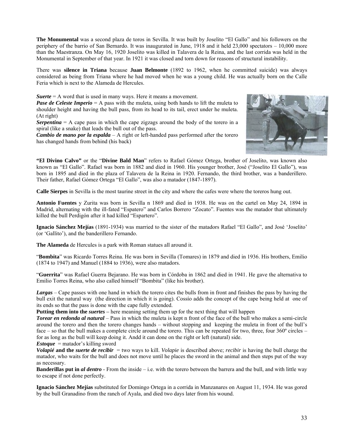**The Monumental** was a second plaza de toros in Sevilla. It was built by Joselito "El Gallo" and his followers on the periphery of the barrio of San Bernardo. It was inaugurated in June, 1918 and it held 23,000 spectators – 10,000 more than the Maestranza. On May 16, 1920 Joselito was killed in Talavera de la Reina, and the last corrida was held in the Monumental in September of that year. In 1921 it was closed and torn down for reasons of structural instability.

There was **silence in Triana** because **Juan Belmonte** (1892 to 1962, when he committed suicide) was always considered as being from Triana where he had moved when he was a young child. He was actually born on the Calle Feria which is next to the Alameda de Hercules.

*Suerte* = A word that is used in many ways. Here it means a movement.

*Pase de Celeste Imperio* = A pass with the muleta, using both hands to lift the muleta to shoulder height and having the bull pass, from its head to its tail, erect under he muleta. (At right)

*Serpentina*  $=$  A cape pass in which the cape zigzags around the body of the torero in a spiral (like a snake) that leads the bull out of the pass.

*Cambio de mano por la espalda* – A right or left-handed pass performed after the torero has changed hands from behind (his back)



**"El Divino Calvo"** or the "**Divine Bald Man**" refers to Rafael Gómez Ortega, brother of Joselito, was known also known as "El Gallo". Rafael was born in 1882 and died in 1960. His younger brother, José ("Joselito El Gallo"), was born in 1895 and died in the plaza of Talavera de la Reina in 1920. Fernando, the third brother, was a banderillero. Their father, Rafael Gómez Ortega "El Gallo", was also a matador (1847-1897).

**Calle Sierpes** in Sevilla is the most taurine street in the city and where the cafes were where the toreros hung out.

**Antonio Fuentes** y Zurita was born in Sevilla n 1869 and died in 1938. He was on the cartel on May 24, 1894 in Madrid, alternating with the ill-fated "Espatero" and Carlos Borrero "Zocato". Fuentes was the matador that ultimately killed the bull Perdigón after it had killed "Espartero".

**Ignacio Sánchez Mejías** (1891-1934) was married to the sister of the matadors Rafael "El Gallo", and José 'Joselito' (or 'Gallito'), and the banderillero Fernando.

**The Alameda** de Hercules is a park with Roman statues all around it.

"**Bombita**" was Ricardo Torres Reina. He was born in Sevilla (Tomares) in 1879 and died in 1936. His brothers, Emilio (1874 to 1947) and Manuel (1884 to 1936), were also matadors.

"**Guerrita**" was Rafael Guerra Bejarano. He was born in Córdoba in 1862 and died in 1941. He gave the alternativa to Emilio Torres Reina, who also called himself "Bombita" (like his brother).

*Largas* – Cape passes with one hand in which the torero cites the bulls from in front and finishes the pass by having the bull exit the natural way (the direction in which it is going). Cossío adds the concept of the cape being held at one of its ends so that the pass is done with the cape fully extended.

**Putting them into the** *suertes* – here meaning setting them up for the next thing that will happen

*Torear en redonda al natural* – Pass in which the muleta is kept n front of the face of the bull who makes a semi-circle around the torero and then the torero changes hands – without stopping and keeping the muleta in front of the bull's face – so that the bull makes a complete circle around the torero. This can be repeated for two, three, four 360º circles – for as long as the bull will keep doing it. Andd it can done on the right or left (natural) side. *Estoque* = matador's killing sword

*Volapié* **and the** *suerte de recibir* = two ways to kill. *Volapie* is described above; *recibir* is having the bull charge the matador, who waits for the bull and does not move until he places the sword in the animal and then steps put of the way as necessary.

**Banderillas put in** *al dentro* - From the inside – i.e. with the torero between the barrera and the bull, and with little way to escape if not done perfectly.

**Ignacio Sánchez Mejías** substituted for Domingo Ortega in a corrida in Manzanares on August 11, 1934. He was gored by the bull Granadino from the ranch of Ayala, and died two days later from his wound.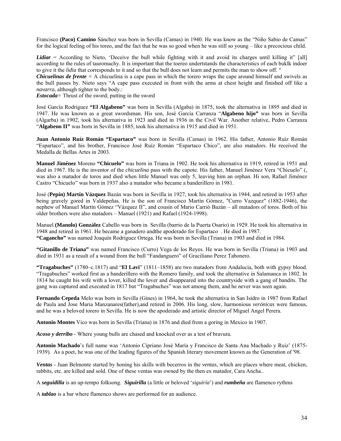Francisco **(Paco) Camino** Sánchez was born in Sevilla (Camas) in 1940. He was know as the "Niño Sabio de Camas" for the logical feeling of his toreo, and the fact that he was so good when he was still so young – like a precocious child.

*Lidiar* = According to Nieto, 'Deceive the bull while fighting with it and avoid its charges until killing it" [all] according to the rules of tauromachy. It is important that the toereo undertstands the characteristics of each buklk indoer to give it the *lidia* that corresponds to it and so that the bull does not learn and permits the man to show off. "

*Chicuelinas de frente* = A chicuelina is a cape pass in which the torero wraps the cape around himself and swivels as the bull passes by. Nieto says "A cape pass executed in front with the arms at chest height and finished off like a *navarra*, although tighter to the body.:

*Estocada=* Thrust of the sword; putting in the sword

José García Rodríguez **"El Algabeno"** was born in Sevilla (Algaba) in 1875, took the alternativa in 1895 and died in 1947. He was known as a great swordsman. His son, José García Carranza "**Algabeno hijo"** was born in Sevilla (Algarba) in 1902, took his alternativa in 1923 and died in 1936 in the Civil War. Another relative, Pedro Carranza "**Algabeno II"** was born in Sevilla in 1885, took his alternativa in 1915 and died in 1951.

**Juan Antonio Ruíz Román "Espartaco"** was born in Sevilla (Camas) in 1962. His father, Antonio Ruíz Román "Espartaco", and his brother, Francisco José Ruíz Román "Espartaco Chico", are also matadors. He received the Medalla de Bellas Artes in 2003.

**Manuel Jiménez** Moreno **"Chicuelo"** was born in Triana in 1902. He took his alternativa in 1919, retired in 1951 and died in 1967. He is the inventor of the *chicuelina* pass with the capote. His father, Manuel Jiménez Vera "Chicuelo" (, was also a matador de toros and died when little Manuel was only 5, leaving him an orphan. Hi son, Rafael Jiménez Castro "Chicuelo" was born in 1937 also a matador who became a banderillero in 1981.

José (**Pepín) Martín Vázquez** Bazán was born in Sevilla in 1927, took his alternativa in 1944, and retired in 1953 after being gravely gored in Valdepeñas. He is the son of Francisco Martín Gómez, "Curro Vazquez" (1882-1946), the nephew of Manuel Martín Gómez "Vázquez II", and cousin of Mario Carrió Bazán – all matadors of toros. Both of his older brothers were also matadors – Manuel (1921) and Rafael (1924-1998).

Manuel **(Manolo) González** Cabello was born in Sevilla (barrio de la Puerta Osario) in 1929. He took his alternativa in 1948 and retired in 1961. He became a ganadero andthe apoderado for Espartaco . He died in 1987. **"Cagancho"** was named Joaquín Rodríguez Ortega. He was born in Sevilla (Triana) in 1903 and died in 1984.

**"Gitanillo de Triana"** was named Francisco (Curro) Vega de los Reyes. He was born in Sevilla (Triana) in 1903 and died in 1931 as a result of a wound from the bull "Fandanguero" of Graciliano Perez Tabonero.

**"Tragabuches"** (1780–c.1817) and "**El Lavi**" (1811–1858) are two matadors from Andalucia, both with gypsy blood. "Tragabuches" worked first as a banderillero with the Romero family, and took the alternative in Salamanca in 1802. In 1814 he caught his wife with a lover, killed the lover and disappeared into the countryside with a gang of bandits. The gang was captured and executed in 1817 but "Tragabuches" was not among them, and he never was seen again.

**Fernando Cepeda** Melo was born in Sevilla (Gines) in 1964, he took the alternativa in San Isidro in 1987 from Rafael de Paula and Jose Maria Manzanares(father),and retired in 2006. His long, slow, harmonious *verónicas* were famous, and he was a beloved torero in Sevilla. He is now the apoderado and artistic director of Miguel Angel Perera.

**Antonio Montes** Vico was born in Sevilla (Triana) in 1876 and died from a goring in Mexico in 1907.

*Acoso y derribo* - Where young bulls are chased and knocked over as a test of bravura.

**Antonio Machado**'s full name was 'Antonio Cipriano José María y Francisco de Santa Ana Machado y Ruiz' (1875- 1939). As a poet, he was one of the leading figures of the Spanish literary movement known as th[e Generation of '98](http://en.wikipedia.org/wiki/Generation_of_%2798).

*Ventas* - Juan Belmonte started by honing his skills with becerros in the *ventas*, which are places where meat, chicken, rabbits, etc. are killed and sold. One of these ventas was owned by the then ex matador, Cara Ancha..

A *seguidilla* is an up-tempo folksong. *Siguirilla* (a little or beloved '*siguiría*') and *rumbeña* are flamenco rythms

A *tablao* is a bar where flamenco shows are performed for an audience.